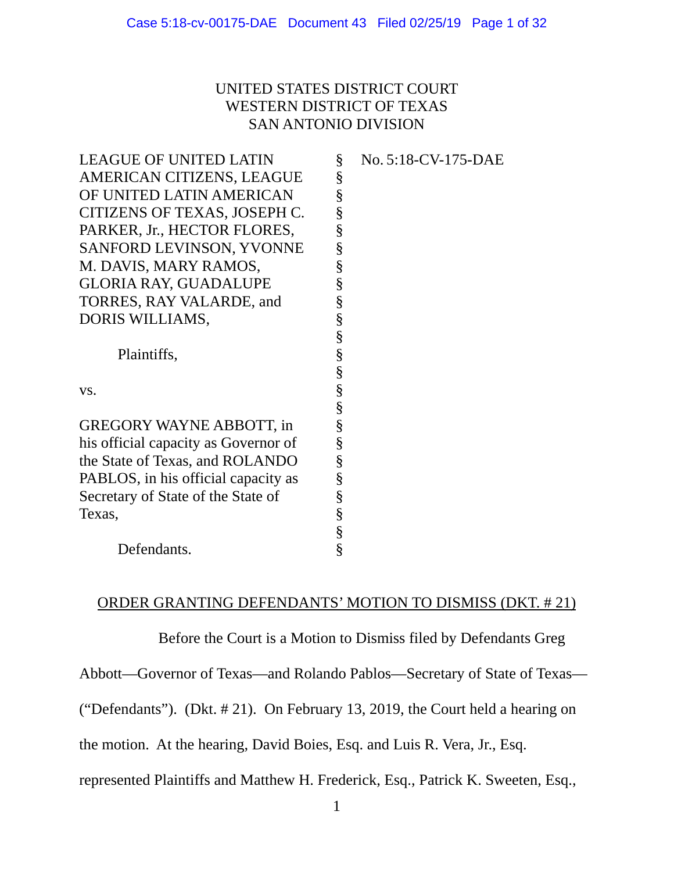# UNITED STATES DISTRICT COURT WESTERN DISTRICT OF TEXAS SAN ANTONIO DIVISION

| <b>LEAGUE OF UNITED LATIN</b>        | § | No. 5:18-CV-175-DAE |
|--------------------------------------|---|---------------------|
| AMERICAN CITIZENS, LEAGUE            | § |                     |
| OF UNITED LATIN AMERICAN             | § |                     |
| CITIZENS OF TEXAS, JOSEPH C.         | § |                     |
| PARKER, Jr., HECTOR FLORES,          | § |                     |
| SANFORD LEVINSON, YVONNE             | § |                     |
| M. DAVIS, MARY RAMOS,                | § |                     |
| <b>GLORIA RAY, GUADALUPE</b>         | § |                     |
| TORRES, RAY VALARDE, and             | § |                     |
| DORIS WILLIAMS,                      | § |                     |
|                                      | § |                     |
| Plaintiffs,                          | § |                     |
|                                      | § |                     |
| VS.                                  | § |                     |
|                                      | § |                     |
| <b>GREGORY WAYNE ABBOTT, in</b>      | § |                     |
| his official capacity as Governor of | § |                     |
| the State of Texas, and ROLANDO      | § |                     |
| PABLOS, in his official capacity as  | § |                     |
| Secretary of State of the State of   | § |                     |
| Texas,                               | § |                     |
|                                      | § |                     |
| Defendants.                          | § |                     |

## ORDER GRANTING DEFENDANTS' MOTION TO DISMISS (DKT. # 21)

Before the Court is a Motion to Dismiss filed by Defendants Greg

Abbott—Governor of Texas—and Rolando Pablos—Secretary of State of Texas—

("Defendants"). (Dkt. # 21). On February 13, 2019, the Court held a hearing on

the motion. At the hearing, David Boies, Esq. and Luis R. Vera, Jr., Esq.

represented Plaintiffs and Matthew H. Frederick, Esq., Patrick K. Sweeten, Esq.,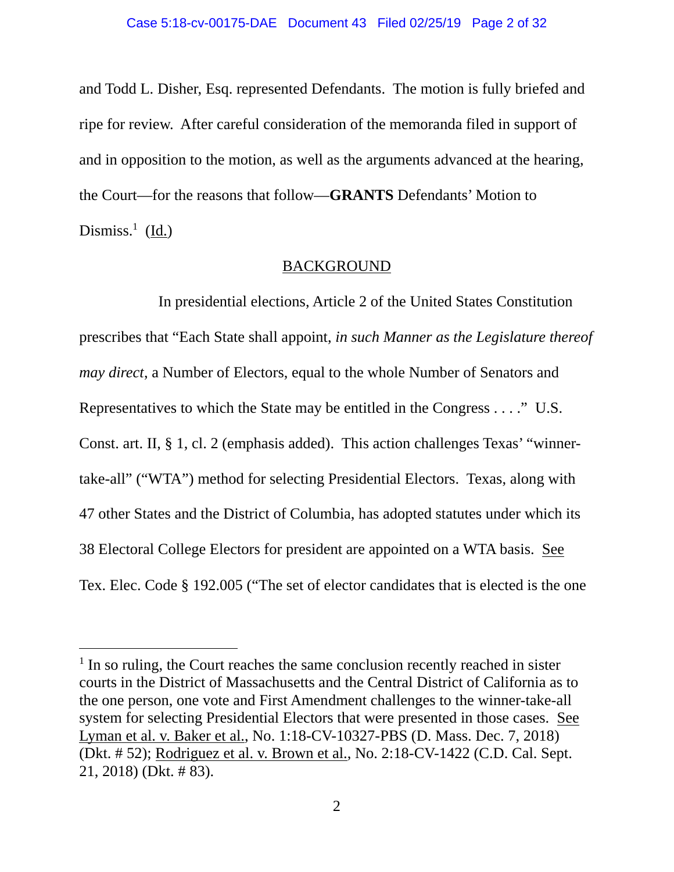and Todd L. Disher, Esq. represented Defendants. The motion is fully briefed and ripe for review. After careful consideration of the memoranda filed in support of and in opposition to the motion, as well as the arguments advanced at the hearing, the Court—for the reasons that follow—**GRANTS** Defendants' Motion to Dismiss.<sup>1</sup> (Id.)

## BACKGROUND

 In presidential elections, Article 2 of the United States Constitution prescribes that "Each State shall appoint, *in such Manner as the Legislature thereof may direct*, a Number of Electors, equal to the whole Number of Senators and Representatives to which the State may be entitled in the Congress . . . ." U.S. Const. art. II, § 1, cl. 2 (emphasis added). This action challenges Texas' "winnertake-all" ("WTA") method for selecting Presidential Electors. Texas, along with 47 other States and the District of Columbia, has adopted statutes under which its 38 Electoral College Electors for president are appointed on a WTA basis. See Tex. Elec. Code § 192.005 ("The set of elector candidates that is elected is the one

<sup>&</sup>lt;sup>1</sup> In so ruling, the Court reaches the same conclusion recently reached in sister courts in the District of Massachusetts and the Central District of California as to the one person, one vote and First Amendment challenges to the winner-take-all system for selecting Presidential Electors that were presented in those cases. See Lyman et al. v. Baker et al., No. 1:18-CV-10327-PBS (D. Mass. Dec. 7, 2018) (Dkt. # 52); Rodriguez et al. v. Brown et al., No. 2:18-CV-1422 (C.D. Cal. Sept. 21, 2018) (Dkt. # 83).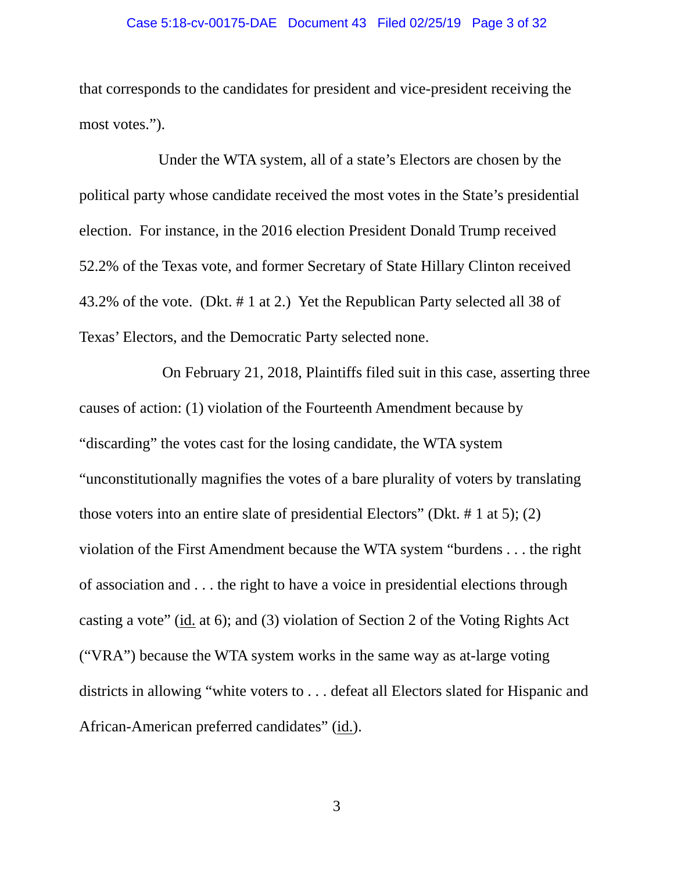#### Case 5:18-cv-00175-DAE Document 43 Filed 02/25/19 Page 3 of 32

that corresponds to the candidates for president and vice-president receiving the most votes.").

 Under the WTA system, all of a state's Electors are chosen by the political party whose candidate received the most votes in the State's presidential election. For instance, in the 2016 election President Donald Trump received 52.2% of the Texas vote, and former Secretary of State Hillary Clinton received 43.2% of the vote. (Dkt. # 1 at 2.) Yet the Republican Party selected all 38 of Texas' Electors, and the Democratic Party selected none.

 On February 21, 2018, Plaintiffs filed suit in this case, asserting three causes of action: (1) violation of the Fourteenth Amendment because by "discarding" the votes cast for the losing candidate, the WTA system "unconstitutionally magnifies the votes of a bare plurality of voters by translating those voters into an entire slate of presidential Electors" (Dkt. # 1 at 5); (2) violation of the First Amendment because the WTA system "burdens . . . the right of association and . . . the right to have a voice in presidential elections through casting a vote" (id. at 6); and (3) violation of Section 2 of the Voting Rights Act ("VRA") because the WTA system works in the same way as at-large voting districts in allowing "white voters to . . . defeat all Electors slated for Hispanic and African-American preferred candidates" (id.).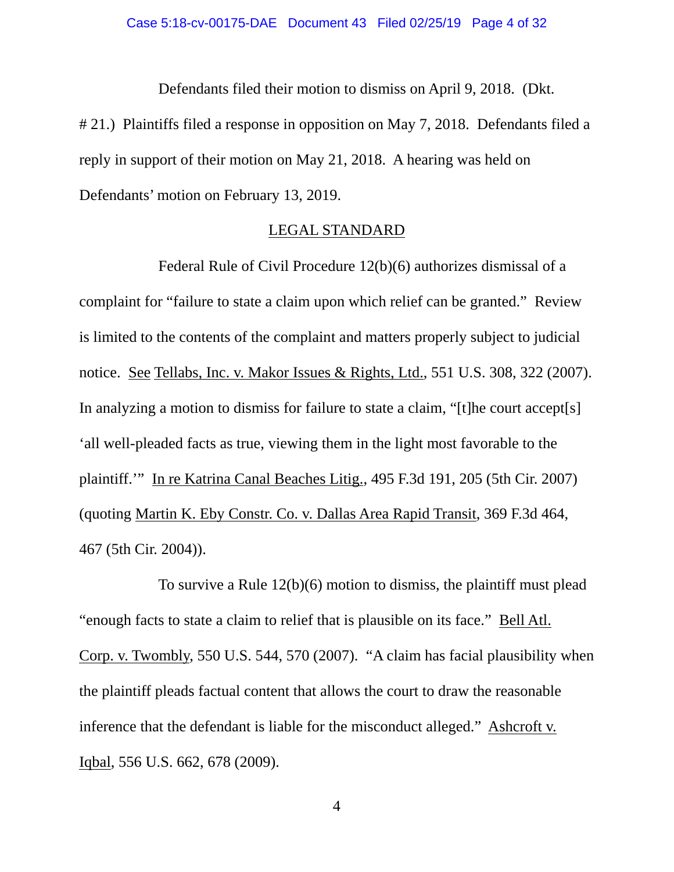Defendants filed their motion to dismiss on April 9, 2018. (Dkt.

# 21.) Plaintiffs filed a response in opposition on May 7, 2018. Defendants filed a reply in support of their motion on May 21, 2018. A hearing was held on Defendants' motion on February 13, 2019.

## LEGAL STANDARD

Federal Rule of Civil Procedure 12(b)(6) authorizes dismissal of a complaint for "failure to state a claim upon which relief can be granted." Review is limited to the contents of the complaint and matters properly subject to judicial notice. See Tellabs, Inc. v. Makor Issues & Rights, Ltd., 551 U.S. 308, 322 (2007). In analyzing a motion to dismiss for failure to state a claim, "[t]he court accept[s] 'all well-pleaded facts as true, viewing them in the light most favorable to the plaintiff.'" In re Katrina Canal Beaches Litig., 495 F.3d 191, 205 (5th Cir. 2007) (quoting Martin K. Eby Constr. Co. v. Dallas Area Rapid Transit, 369 F.3d 464, 467 (5th Cir. 2004)).

 To survive a Rule 12(b)(6) motion to dismiss, the plaintiff must plead "enough facts to state a claim to relief that is plausible on its face." Bell Atl. Corp. v. Twombly, 550 U.S. 544, 570 (2007). "A claim has facial plausibility when the plaintiff pleads factual content that allows the court to draw the reasonable inference that the defendant is liable for the misconduct alleged." Ashcroft v. Iqbal, 556 U.S. 662, 678 (2009).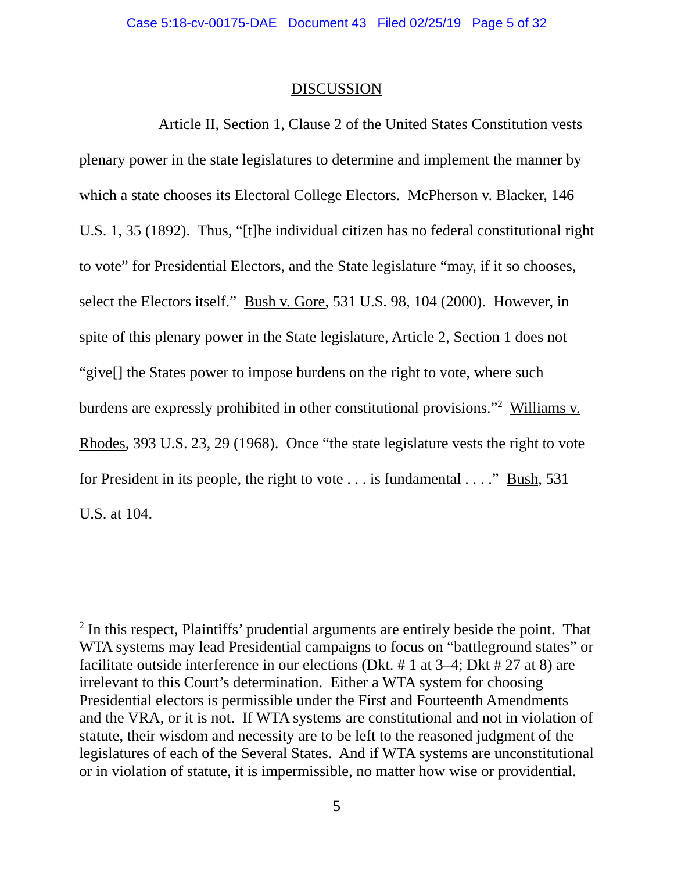## **DISCUSSION**

 Article II, Section 1, Clause 2 of the United States Constitution vests plenary power in the state legislatures to determine and implement the manner by which a state chooses its Electoral College Electors. McPherson v. Blacker, 146 U.S. 1, 35 (1892). Thus, "[t]he individual citizen has no federal constitutional right to vote" for Presidential Electors, and the State legislature "may, if it so chooses, select the Electors itself." Bush v. Gore, 531 U.S. 98, 104 (2000). However, in spite of this plenary power in the State legislature, Article 2, Section 1 does not "give[] the States power to impose burdens on the right to vote, where such burdens are expressly prohibited in other constitutional provisions."<sup>2</sup> Williams v. Rhodes, 393 U.S. 23, 29 (1968). Once "the state legislature vests the right to vote for President in its people, the right to vote . . . is fundamental . . . ." Bush, 531 U.S. at 104.

<sup>&</sup>lt;sup>2</sup> In this respect, Plaintiffs' prudential arguments are entirely beside the point. That WTA systems may lead Presidential campaigns to focus on "battleground states" or facilitate outside interference in our elections (Dkt. # 1 at 3–4; Dkt # 27 at 8) are irrelevant to this Court's determination. Either a WTA system for choosing Presidential electors is permissible under the First and Fourteenth Amendments and the VRA, or it is not. If WTA systems are constitutional and not in violation of statute, their wisdom and necessity are to be left to the reasoned judgment of the legislatures of each of the Several States. And if WTA systems are unconstitutional or in violation of statute, it is impermissible, no matter how wise or providential.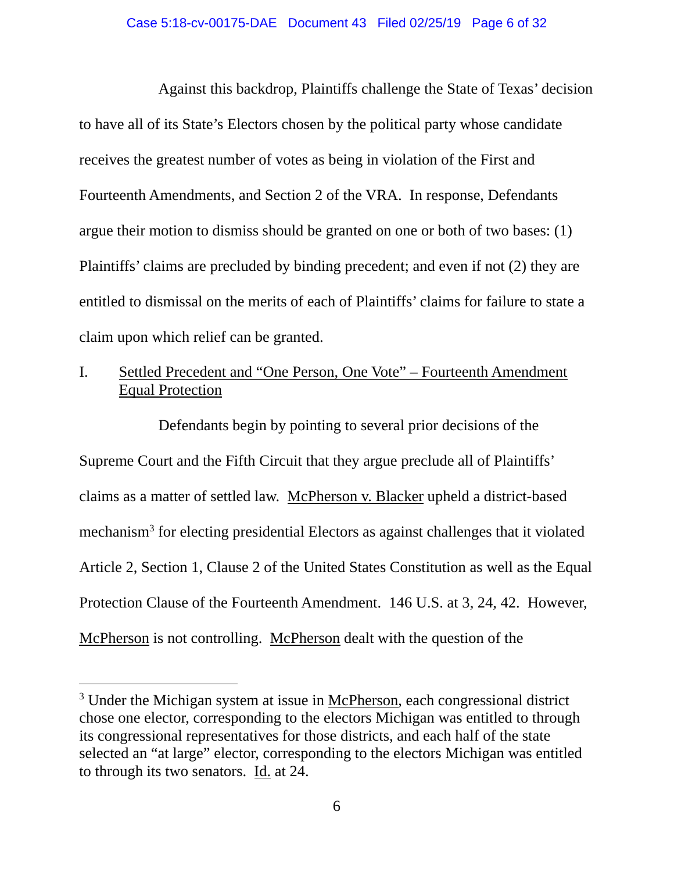### Case 5:18-cv-00175-DAE Document 43 Filed 02/25/19 Page 6 of 32

 Against this backdrop, Plaintiffs challenge the State of Texas' decision to have all of its State's Electors chosen by the political party whose candidate receives the greatest number of votes as being in violation of the First and Fourteenth Amendments, and Section 2 of the VRA. In response, Defendants argue their motion to dismiss should be granted on one or both of two bases: (1) Plaintiffs' claims are precluded by binding precedent; and even if not (2) they are entitled to dismissal on the merits of each of Plaintiffs' claims for failure to state a claim upon which relief can be granted.

# I. Settled Precedent and "One Person, One Vote" – Fourteenth Amendment Equal Protection

 Defendants begin by pointing to several prior decisions of the Supreme Court and the Fifth Circuit that they argue preclude all of Plaintiffs' claims as a matter of settled law. McPherson v. Blacker upheld a district-based mechanism<sup>3</sup> for electing presidential Electors as against challenges that it violated Article 2, Section 1, Clause 2 of the United States Constitution as well as the Equal Protection Clause of the Fourteenth Amendment. 146 U.S. at 3, 24, 42. However, McPherson is not controlling. McPherson dealt with the question of the

<sup>&</sup>lt;sup>3</sup> Under the Michigan system at issue in McPherson, each congressional district chose one elector, corresponding to the electors Michigan was entitled to through its congressional representatives for those districts, and each half of the state selected an "at large" elector, corresponding to the electors Michigan was entitled to through its two senators. Id. at 24.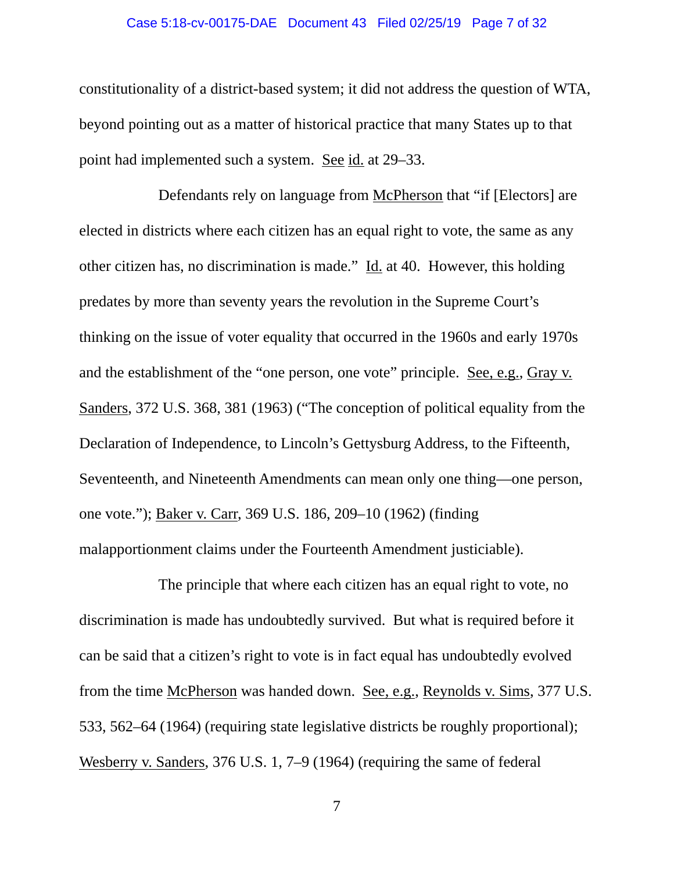#### Case 5:18-cv-00175-DAE Document 43 Filed 02/25/19 Page 7 of 32

constitutionality of a district-based system; it did not address the question of WTA, beyond pointing out as a matter of historical practice that many States up to that point had implemented such a system. See id. at 29–33.

 Defendants rely on language from McPherson that "if [Electors] are elected in districts where each citizen has an equal right to vote, the same as any other citizen has, no discrimination is made." Id. at 40. However, this holding predates by more than seventy years the revolution in the Supreme Court's thinking on the issue of voter equality that occurred in the 1960s and early 1970s and the establishment of the "one person, one vote" principle. See, e.g., Gray v. Sanders, 372 U.S. 368, 381 (1963) ("The conception of political equality from the Declaration of Independence, to Lincoln's Gettysburg Address, to the Fifteenth, Seventeenth, and Nineteenth Amendments can mean only one thing—one person, one vote."); Baker v. Carr, 369 U.S. 186, 209–10 (1962) (finding malapportionment claims under the Fourteenth Amendment justiciable).

 The principle that where each citizen has an equal right to vote, no discrimination is made has undoubtedly survived. But what is required before it can be said that a citizen's right to vote is in fact equal has undoubtedly evolved from the time McPherson was handed down. See, e.g., Reynolds v. Sims, 377 U.S. 533, 562–64 (1964) (requiring state legislative districts be roughly proportional); Wesberry v. Sanders, 376 U.S. 1, 7–9 (1964) (requiring the same of federal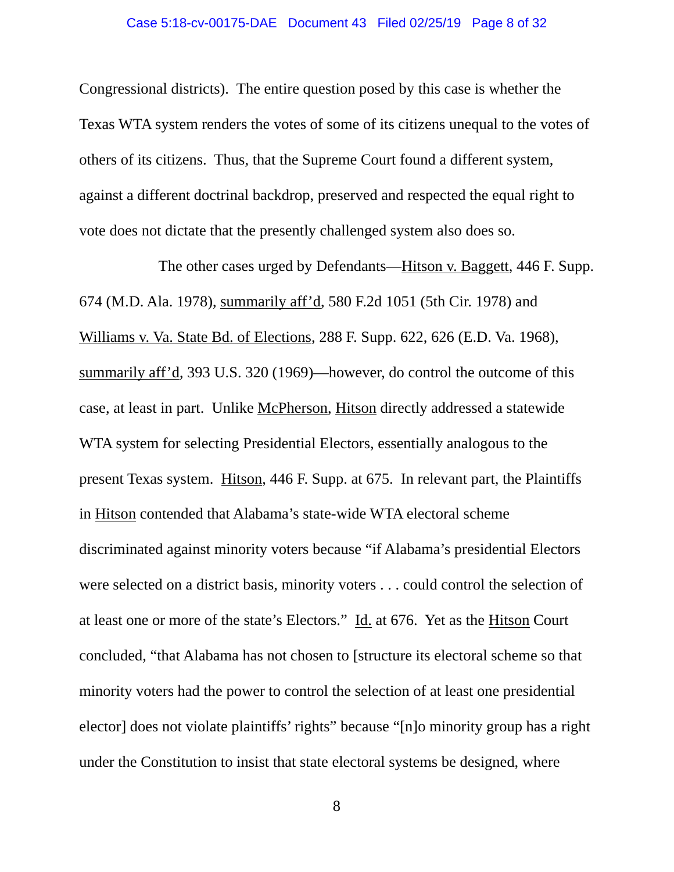#### Case 5:18-cv-00175-DAE Document 43 Filed 02/25/19 Page 8 of 32

Congressional districts). The entire question posed by this case is whether the Texas WTA system renders the votes of some of its citizens unequal to the votes of others of its citizens. Thus, that the Supreme Court found a different system, against a different doctrinal backdrop, preserved and respected the equal right to vote does not dictate that the presently challenged system also does so.

 The other cases urged by Defendants—Hitson v. Baggett, 446 F. Supp. 674 (M.D. Ala. 1978), summarily aff'd, 580 F.2d 1051 (5th Cir. 1978) and Williams v. Va. State Bd. of Elections, 288 F. Supp. 622, 626 (E.D. Va. 1968), summarily aff'd, 393 U.S. 320 (1969)—however, do control the outcome of this case, at least in part. Unlike McPherson, Hitson directly addressed a statewide WTA system for selecting Presidential Electors, essentially analogous to the present Texas system. Hitson, 446 F. Supp. at 675. In relevant part, the Plaintiffs in Hitson contended that Alabama's state-wide WTA electoral scheme discriminated against minority voters because "if Alabama's presidential Electors were selected on a district basis, minority voters . . . could control the selection of at least one or more of the state's Electors." Id. at 676. Yet as the Hitson Court concluded, "that Alabama has not chosen to [structure its electoral scheme so that minority voters had the power to control the selection of at least one presidential elector] does not violate plaintiffs' rights" because "[n]o minority group has a right under the Constitution to insist that state electoral systems be designed, where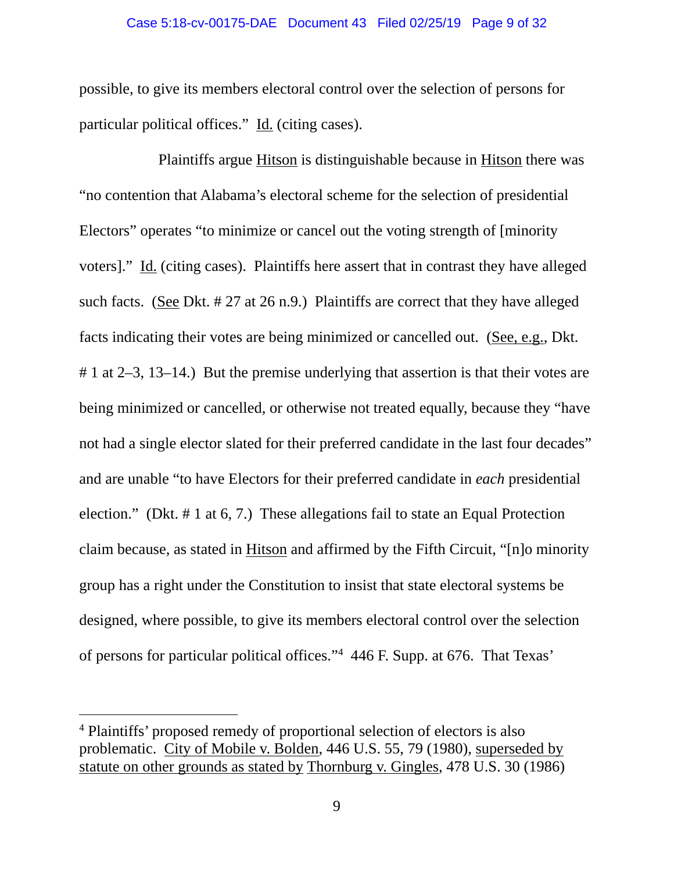### Case 5:18-cv-00175-DAE Document 43 Filed 02/25/19 Page 9 of 32

possible, to give its members electoral control over the selection of persons for particular political offices." Id. (citing cases).

 Plaintiffs argue Hitson is distinguishable because in Hitson there was "no contention that Alabama's electoral scheme for the selection of presidential Electors" operates "to minimize or cancel out the voting strength of [minority voters]." Id. (citing cases). Plaintiffs here assert that in contrast they have alleged such facts. (See Dkt. # 27 at 26 n.9.) Plaintiffs are correct that they have alleged facts indicating their votes are being minimized or cancelled out. (See, e.g., Dkt. # 1 at 2–3, 13–14.) But the premise underlying that assertion is that their votes are being minimized or cancelled, or otherwise not treated equally, because they "have not had a single elector slated for their preferred candidate in the last four decades" and are unable "to have Electors for their preferred candidate in *each* presidential election." (Dkt. # 1 at 6, 7.) These allegations fail to state an Equal Protection claim because, as stated in Hitson and affirmed by the Fifth Circuit, "[n]o minority group has a right under the Constitution to insist that state electoral systems be designed, where possible, to give its members electoral control over the selection of persons for particular political offices."4 446 F. Supp. at 676. That Texas'

<sup>4</sup> Plaintiffs' proposed remedy of proportional selection of electors is also problematic. City of Mobile v. Bolden, 446 U.S. 55, 79 (1980), superseded by statute on other grounds as stated by Thornburg v. Gingles, 478 U.S. 30 (1986)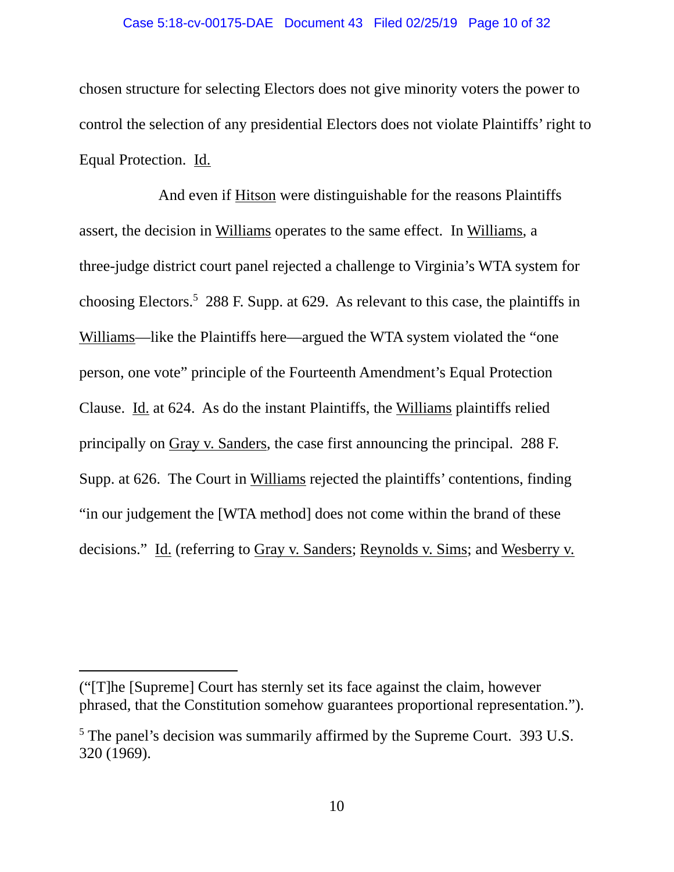### Case 5:18-cv-00175-DAE Document 43 Filed 02/25/19 Page 10 of 32

chosen structure for selecting Electors does not give minority voters the power to control the selection of any presidential Electors does not violate Plaintiffs' right to Equal Protection. Id.

 And even if Hitson were distinguishable for the reasons Plaintiffs assert, the decision in Williams operates to the same effect. In Williams, a three-judge district court panel rejected a challenge to Virginia's WTA system for choosing Electors.<sup>5</sup> 288 F. Supp. at 629. As relevant to this case, the plaintiffs in Williams—like the Plaintiffs here—argued the WTA system violated the "one person, one vote" principle of the Fourteenth Amendment's Equal Protection Clause. Id. at 624. As do the instant Plaintiffs, the Williams plaintiffs relied principally on Gray v. Sanders, the case first announcing the principal. 288 F. Supp. at 626. The Court in Williams rejected the plaintiffs' contentions, finding "in our judgement the [WTA method] does not come within the brand of these decisions." Id. (referring to Gray v. Sanders; Reynolds v. Sims; and Wesberry v.

<sup>(&</sup>quot;[T]he [Supreme] Court has sternly set its face against the claim, however phrased, that the Constitution somehow guarantees proportional representation.").

<sup>&</sup>lt;sup>5</sup> The panel's decision was summarily affirmed by the Supreme Court. 393 U.S. 320 (1969).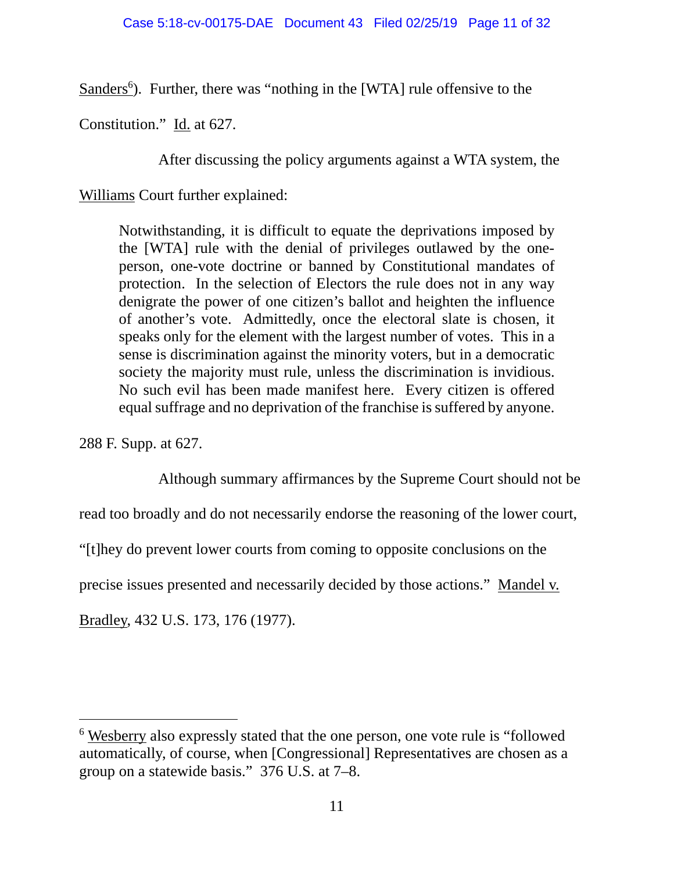Sanders<sup>6</sup>). Further, there was "nothing in the [WTA] rule offensive to the

Constitution." Id. at 627.

After discussing the policy arguments against a WTA system, the

Williams Court further explained:

Notwithstanding, it is difficult to equate the deprivations imposed by the [WTA] rule with the denial of privileges outlawed by the oneperson, one-vote doctrine or banned by Constitutional mandates of protection. In the selection of Electors the rule does not in any way denigrate the power of one citizen's ballot and heighten the influence of another's vote. Admittedly, once the electoral slate is chosen, it speaks only for the element with the largest number of votes. This in a sense is discrimination against the minority voters, but in a democratic society the majority must rule, unless the discrimination is invidious. No such evil has been made manifest here. Every citizen is offered equal suffrage and no deprivation of the franchise is suffered by anyone.

288 F. Supp. at 627.

 $\overline{a}$ 

Although summary affirmances by the Supreme Court should not be

read too broadly and do not necessarily endorse the reasoning of the lower court,

"[t]hey do prevent lower courts from coming to opposite conclusions on the

precise issues presented and necessarily decided by those actions." Mandel v.

Bradley, 432 U.S. 173, 176 (1977).

<sup>&</sup>lt;sup>6</sup> Wesberry also expressly stated that the one person, one vote rule is "followed" automatically, of course, when [Congressional] Representatives are chosen as a group on a statewide basis." 376 U.S. at 7–8.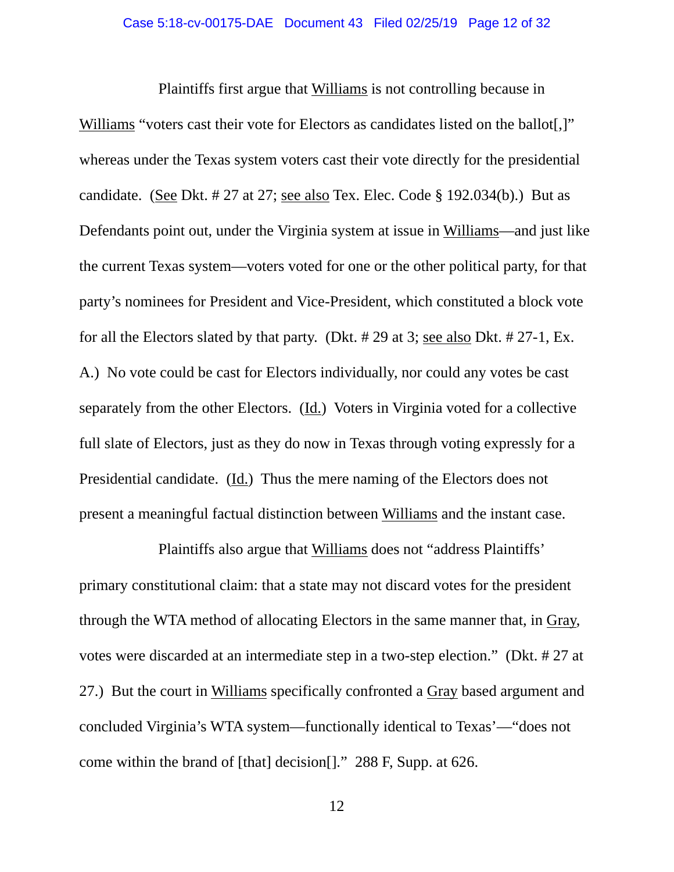Plaintiffs first argue that Williams is not controlling because in Williams "voters cast their vote for Electors as candidates listed on the ballot[.]" whereas under the Texas system voters cast their vote directly for the presidential candidate. (See Dkt. # 27 at 27; see also Tex. Elec. Code § 192.034(b).) But as Defendants point out, under the Virginia system at issue in Williams—and just like the current Texas system—voters voted for one or the other political party, for that party's nominees for President and Vice-President, which constituted a block vote for all the Electors slated by that party. (Dkt. # 29 at 3; see also Dkt. # 27-1, Ex. A.) No vote could be cast for Electors individually, nor could any votes be cast separately from the other Electors. (Id.) Voters in Virginia voted for a collective full slate of Electors, just as they do now in Texas through voting expressly for a Presidential candidate. (Id.) Thus the mere naming of the Electors does not present a meaningful factual distinction between Williams and the instant case.

 Plaintiffs also argue that Williams does not "address Plaintiffs' primary constitutional claim: that a state may not discard votes for the president through the WTA method of allocating Electors in the same manner that, in Gray, votes were discarded at an intermediate step in a two-step election." (Dkt. # 27 at 27.) But the court in Williams specifically confronted a Gray based argument and concluded Virginia's WTA system—functionally identical to Texas'—"does not come within the brand of [that] decision[]." 288 F, Supp. at 626.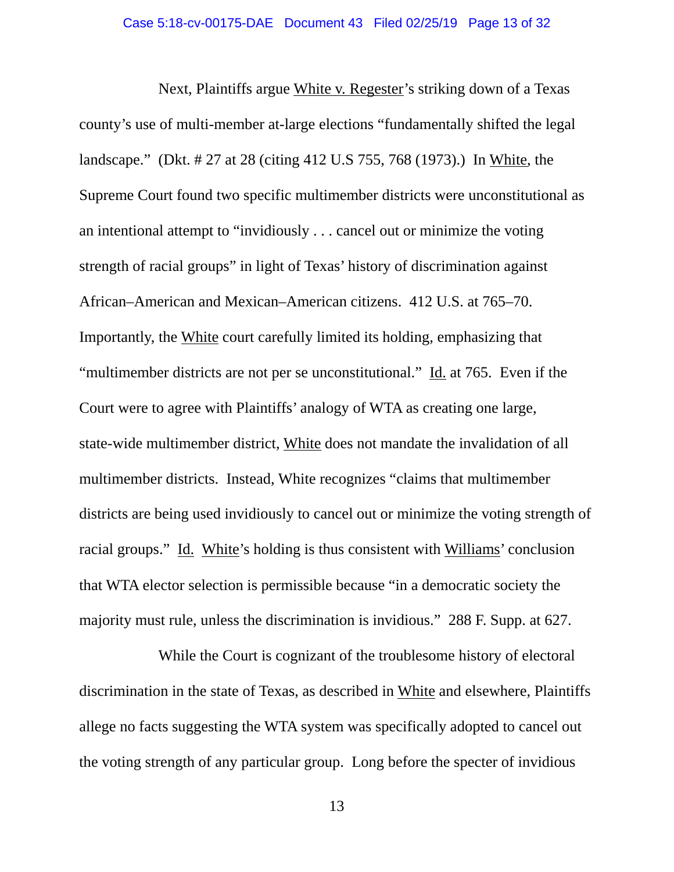Next, Plaintiffs argue White v. Regester's striking down of a Texas county's use of multi-member at-large elections "fundamentally shifted the legal landscape." (Dkt. # 27 at 28 (citing 412 U.S 755, 768 (1973).) In White, the Supreme Court found two specific multimember districts were unconstitutional as an intentional attempt to "invidiously . . . cancel out or minimize the voting strength of racial groups" in light of Texas' history of discrimination against African–American and Mexican–American citizens. 412 U.S. at 765–70. Importantly, the White court carefully limited its holding, emphasizing that "multimember districts are not per se unconstitutional." Id. at 765. Even if the Court were to agree with Plaintiffs' analogy of WTA as creating one large, state-wide multimember district, White does not mandate the invalidation of all multimember districts. Instead, White recognizes "claims that multimember districts are being used invidiously to cancel out or minimize the voting strength of racial groups." Id. White's holding is thus consistent with Williams' conclusion that WTA elector selection is permissible because "in a democratic society the majority must rule, unless the discrimination is invidious." 288 F. Supp. at 627.

 While the Court is cognizant of the troublesome history of electoral discrimination in the state of Texas, as described in White and elsewhere, Plaintiffs allege no facts suggesting the WTA system was specifically adopted to cancel out the voting strength of any particular group. Long before the specter of invidious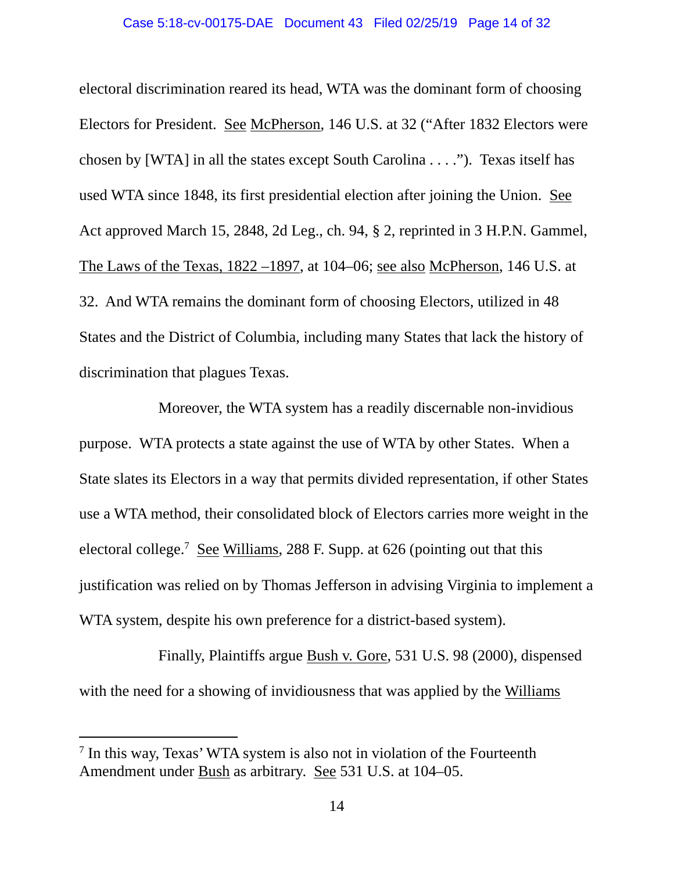electoral discrimination reared its head, WTA was the dominant form of choosing Electors for President. See McPherson, 146 U.S. at 32 ("After 1832 Electors were chosen by [WTA] in all the states except South Carolina . . . ."). Texas itself has used WTA since 1848, its first presidential election after joining the Union. See Act approved March 15, 2848, 2d Leg., ch. 94, § 2, reprinted in 3 H.P.N. Gammel, The Laws of the Texas, 1822 –1897, at 104–06; see also McPherson, 146 U.S. at 32. And WTA remains the dominant form of choosing Electors, utilized in 48 States and the District of Columbia, including many States that lack the history of discrimination that plagues Texas.

 Moreover, the WTA system has a readily discernable non-invidious purpose. WTA protects a state against the use of WTA by other States. When a State slates its Electors in a way that permits divided representation, if other States use a WTA method, their consolidated block of Electors carries more weight in the electoral college.<sup>7</sup> See Williams, 288 F. Supp. at 626 (pointing out that this justification was relied on by Thomas Jefferson in advising Virginia to implement a WTA system, despite his own preference for a district-based system).

 Finally, Plaintiffs argue Bush v. Gore, 531 U.S. 98 (2000), dispensed with the need for a showing of invidiousness that was applied by the Williams

<sup>&</sup>lt;sup>7</sup> In this way, Texas' WTA system is also not in violation of the Fourteenth Amendment under Bush as arbitrary. See 531 U.S. at 104–05.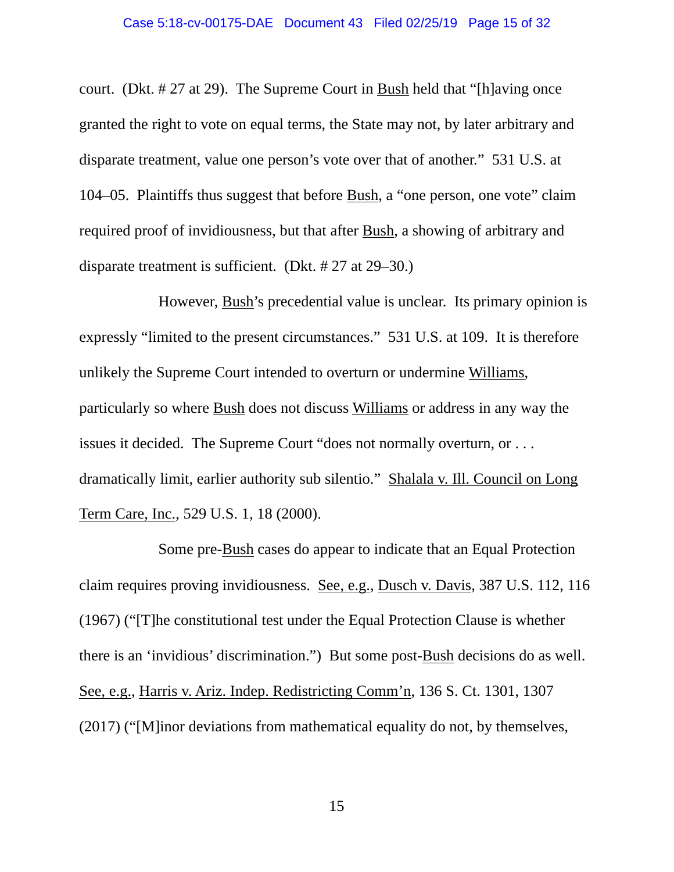court. (Dkt. # 27 at 29). The Supreme Court in Bush held that "[h]aving once granted the right to vote on equal terms, the State may not, by later arbitrary and disparate treatment, value one person's vote over that of another." 531 U.S. at 104–05. Plaintiffs thus suggest that before Bush, a "one person, one vote" claim required proof of invidiousness, but that after Bush, a showing of arbitrary and disparate treatment is sufficient. (Dkt. # 27 at 29–30.)

 However, Bush's precedential value is unclear. Its primary opinion is expressly "limited to the present circumstances." 531 U.S. at 109. It is therefore unlikely the Supreme Court intended to overturn or undermine Williams, particularly so where Bush does not discuss Williams or address in any way the issues it decided. The Supreme Court "does not normally overturn, or . . . dramatically limit, earlier authority sub silentio." Shalala v. Ill. Council on Long Term Care, Inc., 529 U.S. 1, 18 (2000).

 Some pre-Bush cases do appear to indicate that an Equal Protection claim requires proving invidiousness. See, e.g., Dusch v. Davis, 387 U.S. 112, 116 (1967) ("[T]he constitutional test under the Equal Protection Clause is whether there is an 'invidious' discrimination.") But some post-Bush decisions do as well. See, e.g., Harris v. Ariz. Indep. Redistricting Comm'n, 136 S. Ct. 1301, 1307 (2017) ("[M]inor deviations from mathematical equality do not, by themselves,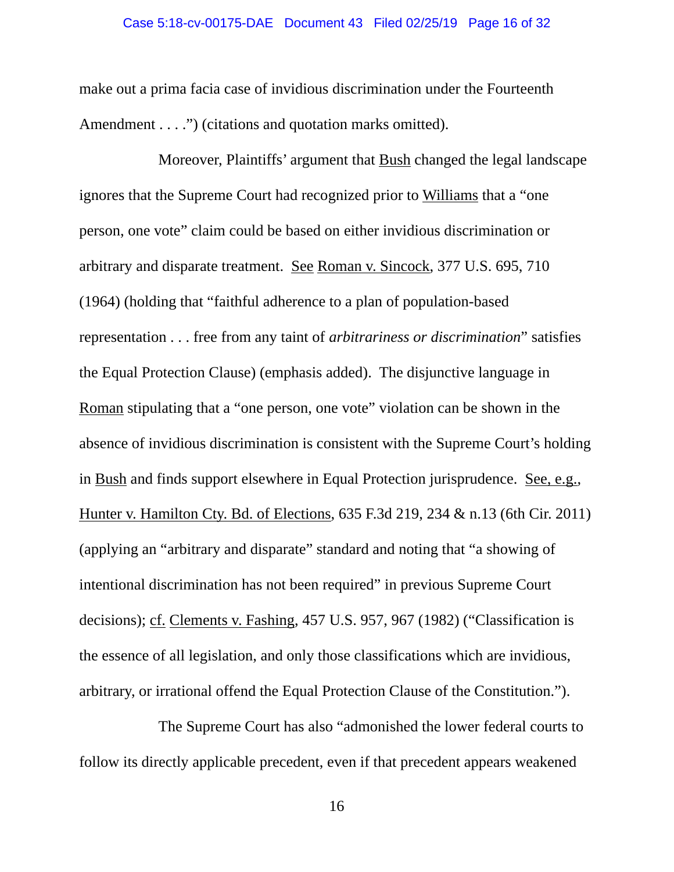make out a prima facia case of invidious discrimination under the Fourteenth Amendment . . . .") (citations and quotation marks omitted).

 Moreover, Plaintiffs' argument that Bush changed the legal landscape ignores that the Supreme Court had recognized prior to Williams that a "one person, one vote" claim could be based on either invidious discrimination or arbitrary and disparate treatment. See Roman v. Sincock, 377 U.S. 695, 710 (1964) (holding that "faithful adherence to a plan of population-based representation . . . free from any taint of *arbitrariness or discrimination*" satisfies the Equal Protection Clause) (emphasis added). The disjunctive language in Roman stipulating that a "one person, one vote" violation can be shown in the absence of invidious discrimination is consistent with the Supreme Court's holding in Bush and finds support elsewhere in Equal Protection jurisprudence. See, e.g., Hunter v. Hamilton Cty. Bd. of Elections, 635 F.3d 219, 234 & n.13 (6th Cir. 2011) (applying an "arbitrary and disparate" standard and noting that "a showing of intentional discrimination has not been required" in previous Supreme Court decisions); cf. Clements v. Fashing, 457 U.S. 957, 967 (1982) ("Classification is the essence of all legislation, and only those classifications which are invidious, arbitrary, or irrational offend the Equal Protection Clause of the Constitution.").

 The Supreme Court has also "admonished the lower federal courts to follow its directly applicable precedent, even if that precedent appears weakened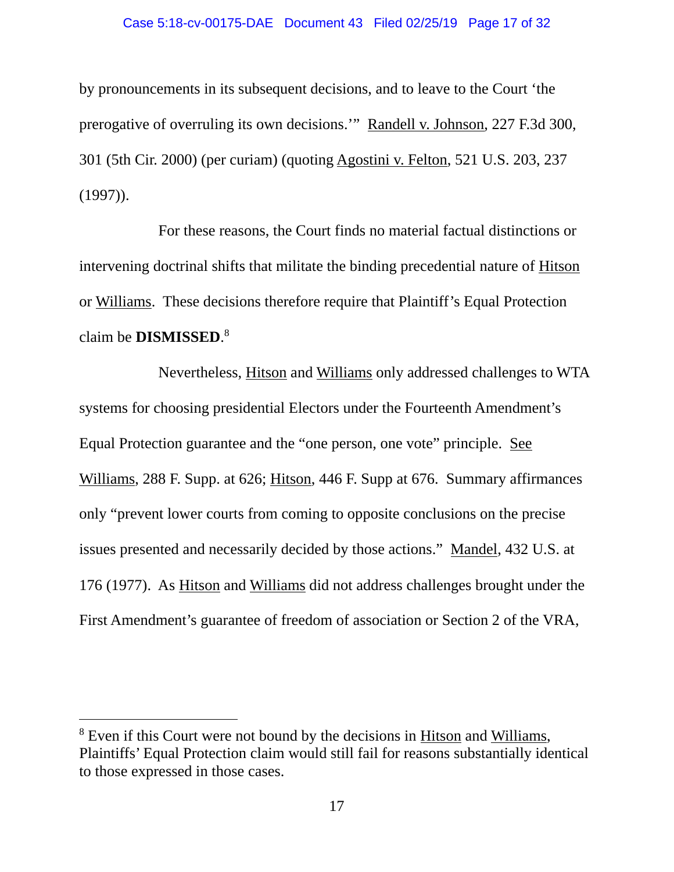### Case 5:18-cv-00175-DAE Document 43 Filed 02/25/19 Page 17 of 32

by pronouncements in its subsequent decisions, and to leave to the Court 'the prerogative of overruling its own decisions.'" Randell v. Johnson, 227 F.3d 300, 301 (5th Cir. 2000) (per curiam) (quoting Agostini v. Felton, 521 U.S. 203, 237  $(1997)$ ).

 For these reasons, the Court finds no material factual distinctions or intervening doctrinal shifts that militate the binding precedential nature of Hitson or Williams. These decisions therefore require that Plaintiff's Equal Protection claim be **DISMISSED**. 8

 Nevertheless, Hitson and Williams only addressed challenges to WTA systems for choosing presidential Electors under the Fourteenth Amendment's Equal Protection guarantee and the "one person, one vote" principle. See Williams, 288 F. Supp. at 626; Hitson, 446 F. Supp at 676. Summary affirmances only "prevent lower courts from coming to opposite conclusions on the precise issues presented and necessarily decided by those actions." Mandel, 432 U.S. at 176 (1977). As Hitson and Williams did not address challenges brought under the First Amendment's guarantee of freedom of association or Section 2 of the VRA,

<sup>&</sup>lt;sup>8</sup> Even if this Court were not bound by the decisions in **Hitson** and Williams, Plaintiffs' Equal Protection claim would still fail for reasons substantially identical to those expressed in those cases.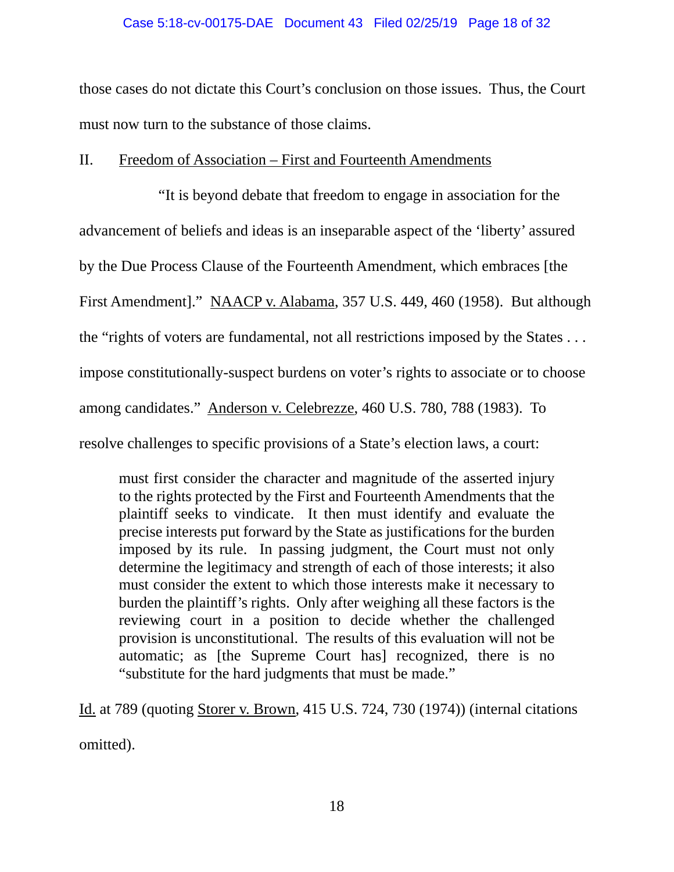### Case 5:18-cv-00175-DAE Document 43 Filed 02/25/19 Page 18 of 32

those cases do not dictate this Court's conclusion on those issues. Thus, the Court must now turn to the substance of those claims.

## II. Freedom of Association – First and Fourteenth Amendments

 "It is beyond debate that freedom to engage in association for the advancement of beliefs and ideas is an inseparable aspect of the 'liberty' assured by the Due Process Clause of the Fourteenth Amendment, which embraces [the First Amendment]." NAACP v. Alabama, 357 U.S. 449, 460 (1958). But although the "rights of voters are fundamental, not all restrictions imposed by the States . . . impose constitutionally-suspect burdens on voter's rights to associate or to choose among candidates." Anderson v. Celebrezze, 460 U.S. 780, 788 (1983). To resolve challenges to specific provisions of a State's election laws, a court:

must first consider the character and magnitude of the asserted injury to the rights protected by the First and Fourteenth Amendments that the plaintiff seeks to vindicate. It then must identify and evaluate the precise interests put forward by the State as justifications for the burden imposed by its rule. In passing judgment, the Court must not only determine the legitimacy and strength of each of those interests; it also must consider the extent to which those interests make it necessary to burden the plaintiff's rights. Only after weighing all these factors is the reviewing court in a position to decide whether the challenged provision is unconstitutional. The results of this evaluation will not be automatic; as [the Supreme Court has] recognized, there is no "substitute for the hard judgments that must be made."

Id. at 789 (quoting Storer v. Brown, 415 U.S. 724, 730 (1974)) (internal citations omitted).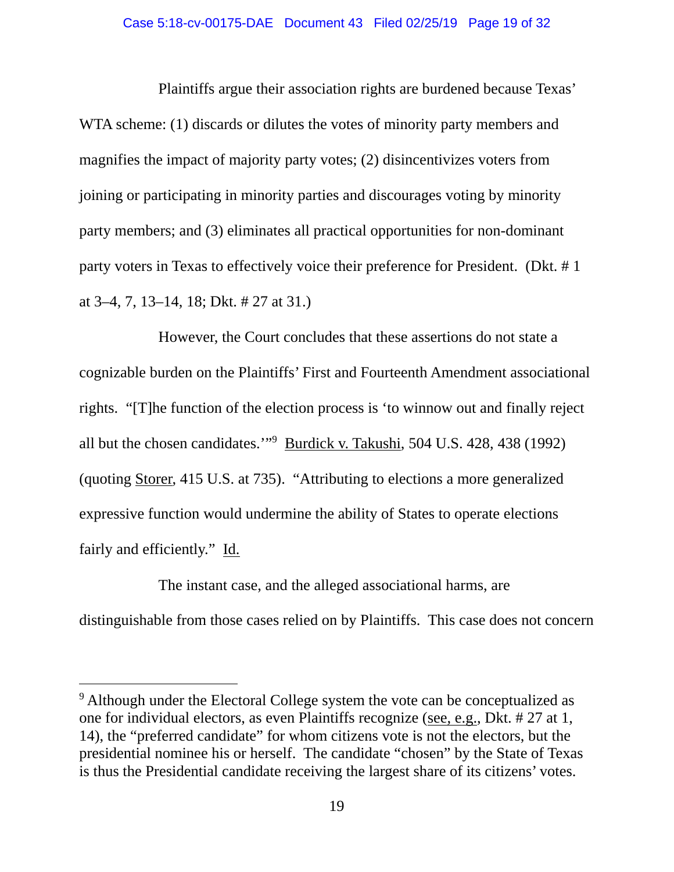### Case 5:18-cv-00175-DAE Document 43 Filed 02/25/19 Page 19 of 32

 Plaintiffs argue their association rights are burdened because Texas' WTA scheme: (1) discards or dilutes the votes of minority party members and magnifies the impact of majority party votes; (2) disincentivizes voters from joining or participating in minority parties and discourages voting by minority party members; and (3) eliminates all practical opportunities for non-dominant party voters in Texas to effectively voice their preference for President. (Dkt. # 1 at 3–4, 7, 13–14, 18; Dkt. # 27 at 31.)

 However, the Court concludes that these assertions do not state a cognizable burden on the Plaintiffs' First and Fourteenth Amendment associational rights. "[T]he function of the election process is 'to winnow out and finally reject all but the chosen candidates."<sup>9</sup> Burdick v. Takushi, 504 U.S. 428, 438 (1992) (quoting Storer, 415 U.S. at 735). "Attributing to elections a more generalized expressive function would undermine the ability of States to operate elections fairly and efficiently." Id.

 The instant case, and the alleged associational harms, are distinguishable from those cases relied on by Plaintiffs. This case does not concern

<sup>&</sup>lt;sup>9</sup> Although under the Electoral College system the vote can be conceptualized as one for individual electors, as even Plaintiffs recognize (see, e.g., Dkt. # 27 at 1, 14), the "preferred candidate" for whom citizens vote is not the electors, but the presidential nominee his or herself. The candidate "chosen" by the State of Texas is thus the Presidential candidate receiving the largest share of its citizens' votes.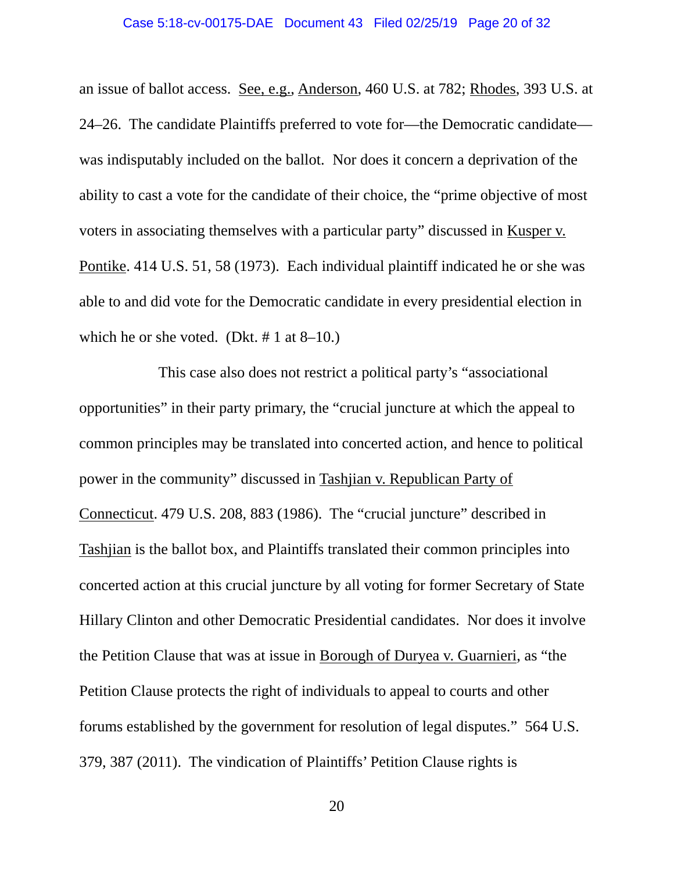an issue of ballot access. See, e.g., Anderson, 460 U.S. at 782; Rhodes, 393 U.S. at 24–26. The candidate Plaintiffs preferred to vote for—the Democratic candidate was indisputably included on the ballot. Nor does it concern a deprivation of the ability to cast a vote for the candidate of their choice, the "prime objective of most voters in associating themselves with a particular party" discussed in Kusper v. Pontike. 414 U.S. 51, 58 (1973). Each individual plaintiff indicated he or she was able to and did vote for the Democratic candidate in every presidential election in which he or she voted. (Dkt.  $# 1$  at 8–10.)

 This case also does not restrict a political party's "associational opportunities" in their party primary, the "crucial juncture at which the appeal to common principles may be translated into concerted action, and hence to political power in the community" discussed in Tashjian v. Republican Party of Connecticut. 479 U.S. 208, 883 (1986). The "crucial juncture" described in Tashjian is the ballot box, and Plaintiffs translated their common principles into concerted action at this crucial juncture by all voting for former Secretary of State Hillary Clinton and other Democratic Presidential candidates. Nor does it involve the Petition Clause that was at issue in Borough of Duryea v. Guarnieri, as "the Petition Clause protects the right of individuals to appeal to courts and other forums established by the government for resolution of legal disputes." 564 U.S. 379, 387 (2011). The vindication of Plaintiffs' Petition Clause rights is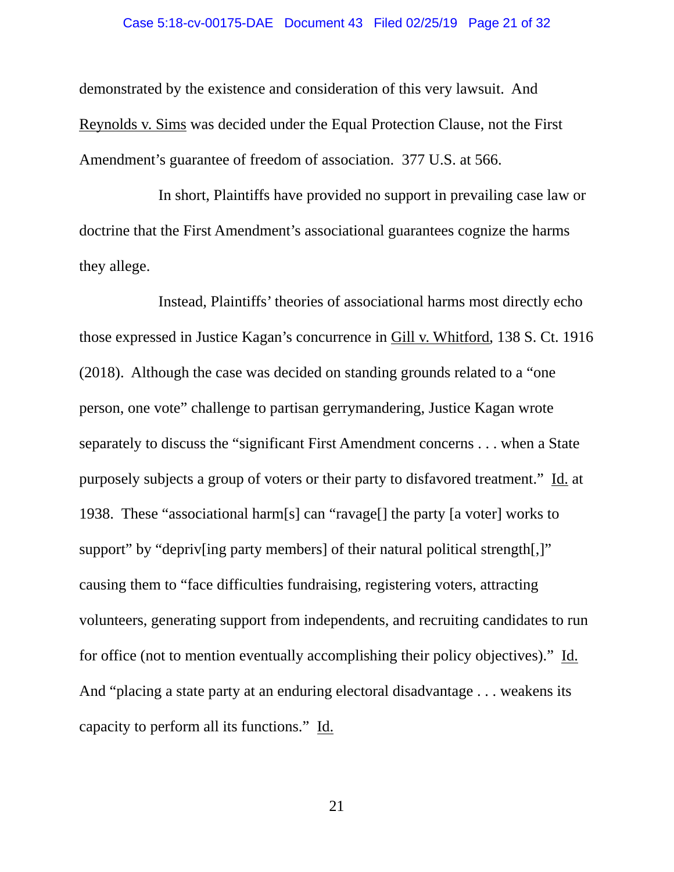### Case 5:18-cv-00175-DAE Document 43 Filed 02/25/19 Page 21 of 32

demonstrated by the existence and consideration of this very lawsuit. And Reynolds v. Sims was decided under the Equal Protection Clause, not the First Amendment's guarantee of freedom of association. 377 U.S. at 566.

 In short, Plaintiffs have provided no support in prevailing case law or doctrine that the First Amendment's associational guarantees cognize the harms they allege.

 Instead, Plaintiffs' theories of associational harms most directly echo those expressed in Justice Kagan's concurrence in Gill v. Whitford, 138 S. Ct. 1916 (2018). Although the case was decided on standing grounds related to a "one person, one vote" challenge to partisan gerrymandering, Justice Kagan wrote separately to discuss the "significant First Amendment concerns . . . when a State purposely subjects a group of voters or their party to disfavored treatment." Id. at 1938. These "associational harm[s] can "ravage[] the party [a voter] works to support" by "depriv[ing party members] of their natural political strength[,]" causing them to "face difficulties fundraising, registering voters, attracting volunteers, generating support from independents, and recruiting candidates to run for office (not to mention eventually accomplishing their policy objectives)." Id. And "placing a state party at an enduring electoral disadvantage . . . weakens its capacity to perform all its functions." Id.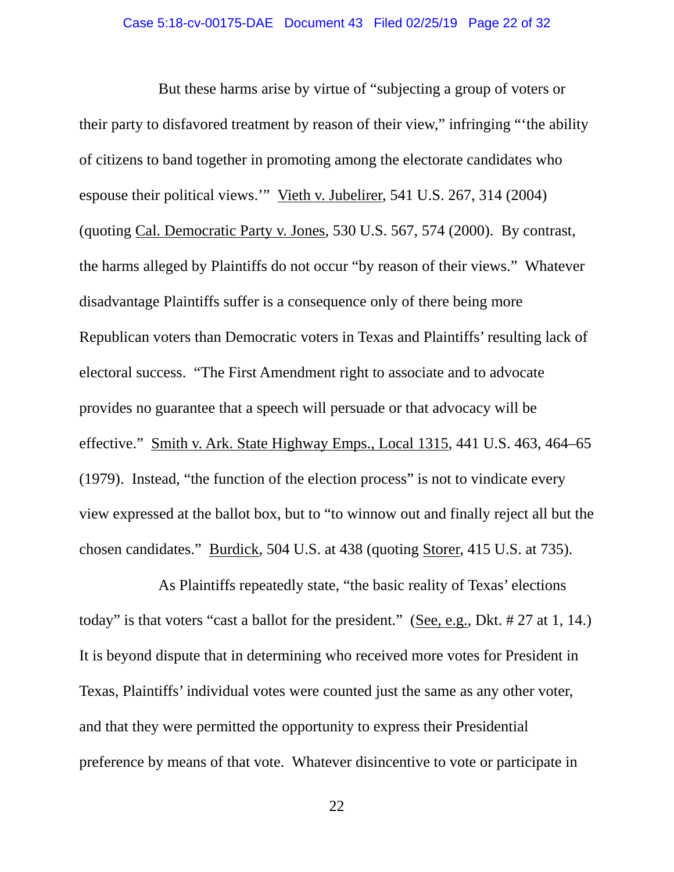But these harms arise by virtue of "subjecting a group of voters or their party to disfavored treatment by reason of their view," infringing "'the ability of citizens to band together in promoting among the electorate candidates who espouse their political views.'" Vieth v. Jubelirer, 541 U.S. 267, 314 (2004) (quoting Cal. Democratic Party v. Jones, 530 U.S. 567, 574 (2000). By contrast, the harms alleged by Plaintiffs do not occur "by reason of their views." Whatever disadvantage Plaintiffs suffer is a consequence only of there being more Republican voters than Democratic voters in Texas and Plaintiffs' resulting lack of electoral success. "The First Amendment right to associate and to advocate provides no guarantee that a speech will persuade or that advocacy will be effective." Smith v. Ark. State Highway Emps., Local 1315, 441 U.S. 463, 464–65 (1979). Instead, "the function of the election process" is not to vindicate every view expressed at the ballot box, but to "to winnow out and finally reject all but the chosen candidates." Burdick, 504 U.S. at 438 (quoting Storer, 415 U.S. at 735).

 As Plaintiffs repeatedly state, "the basic reality of Texas' elections today" is that voters "cast a ballot for the president." (See, e.g., Dkt. # 27 at 1, 14.) It is beyond dispute that in determining who received more votes for President in Texas, Plaintiffs' individual votes were counted just the same as any other voter, and that they were permitted the opportunity to express their Presidential preference by means of that vote. Whatever disincentive to vote or participate in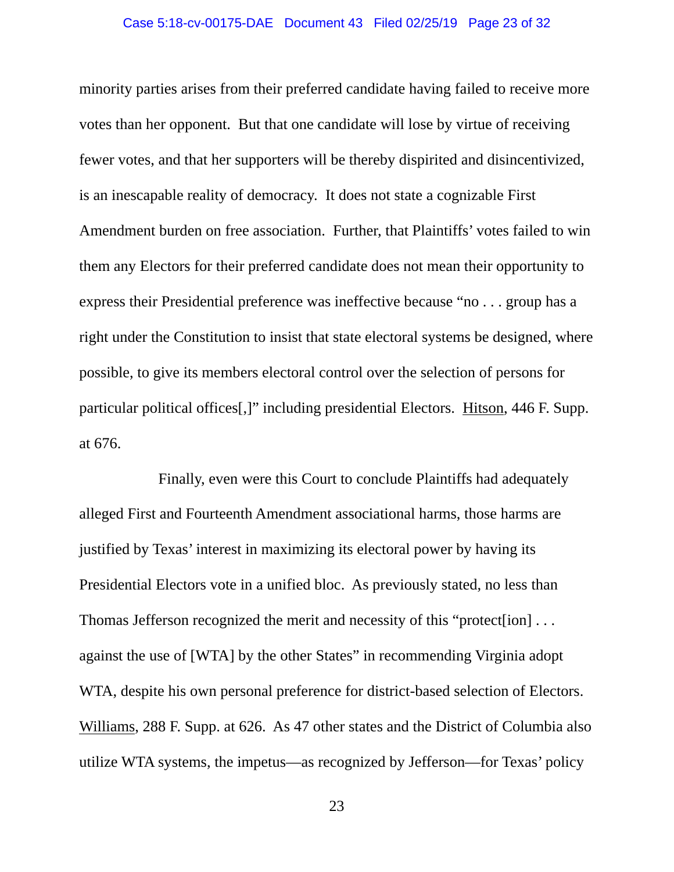### Case 5:18-cv-00175-DAE Document 43 Filed 02/25/19 Page 23 of 32

minority parties arises from their preferred candidate having failed to receive more votes than her opponent. But that one candidate will lose by virtue of receiving fewer votes, and that her supporters will be thereby dispirited and disincentivized, is an inescapable reality of democracy. It does not state a cognizable First Amendment burden on free association. Further, that Plaintiffs' votes failed to win them any Electors for their preferred candidate does not mean their opportunity to express their Presidential preference was ineffective because "no . . . group has a right under the Constitution to insist that state electoral systems be designed, where possible, to give its members electoral control over the selection of persons for particular political offices[,]" including presidential Electors. Hitson, 446 F. Supp. at 676.

 Finally, even were this Court to conclude Plaintiffs had adequately alleged First and Fourteenth Amendment associational harms, those harms are justified by Texas' interest in maximizing its electoral power by having its Presidential Electors vote in a unified bloc. As previously stated, no less than Thomas Jefferson recognized the merit and necessity of this "protect[ion] . . . against the use of [WTA] by the other States" in recommending Virginia adopt WTA, despite his own personal preference for district-based selection of Electors. Williams, 288 F. Supp. at 626. As 47 other states and the District of Columbia also utilize WTA systems, the impetus—as recognized by Jefferson—for Texas' policy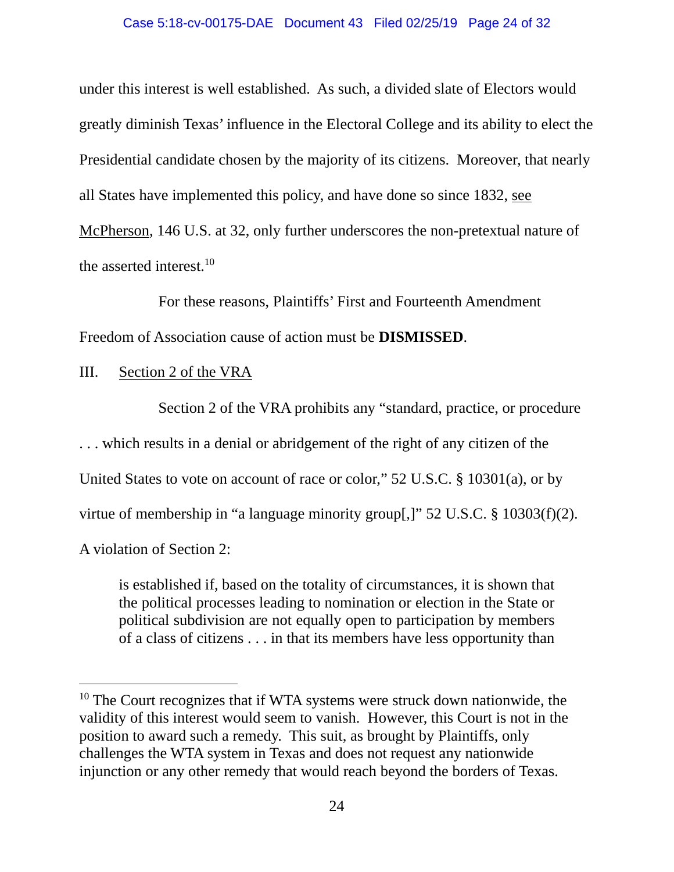### Case 5:18-cv-00175-DAE Document 43 Filed 02/25/19 Page 24 of 32

under this interest is well established. As such, a divided slate of Electors would greatly diminish Texas' influence in the Electoral College and its ability to elect the Presidential candidate chosen by the majority of its citizens. Moreover, that nearly all States have implemented this policy, and have done so since 1832, see McPherson, 146 U.S. at 32, only further underscores the non-pretextual nature of the asserted interest. $10$ 

 For these reasons, Plaintiffs' First and Fourteenth Amendment Freedom of Association cause of action must be **DISMISSED**.

## III. Section 2 of the VRA

Section 2 of the VRA prohibits any "standard, practice, or procedure

. . . which results in a denial or abridgement of the right of any citizen of the

United States to vote on account of race or color," 52 U.S.C. § 10301(a), or by

virtue of membership in "a language minority group[,]" 52 U.S.C. § 10303(f)(2).

A violation of Section 2:

 $\overline{a}$ 

is established if, based on the totality of circumstances, it is shown that the political processes leading to nomination or election in the State or political subdivision are not equally open to participation by members of a class of citizens . . . in that its members have less opportunity than

 $10$  The Court recognizes that if WTA systems were struck down nationwide, the validity of this interest would seem to vanish. However, this Court is not in the position to award such a remedy. This suit, as brought by Plaintiffs, only challenges the WTA system in Texas and does not request any nationwide injunction or any other remedy that would reach beyond the borders of Texas.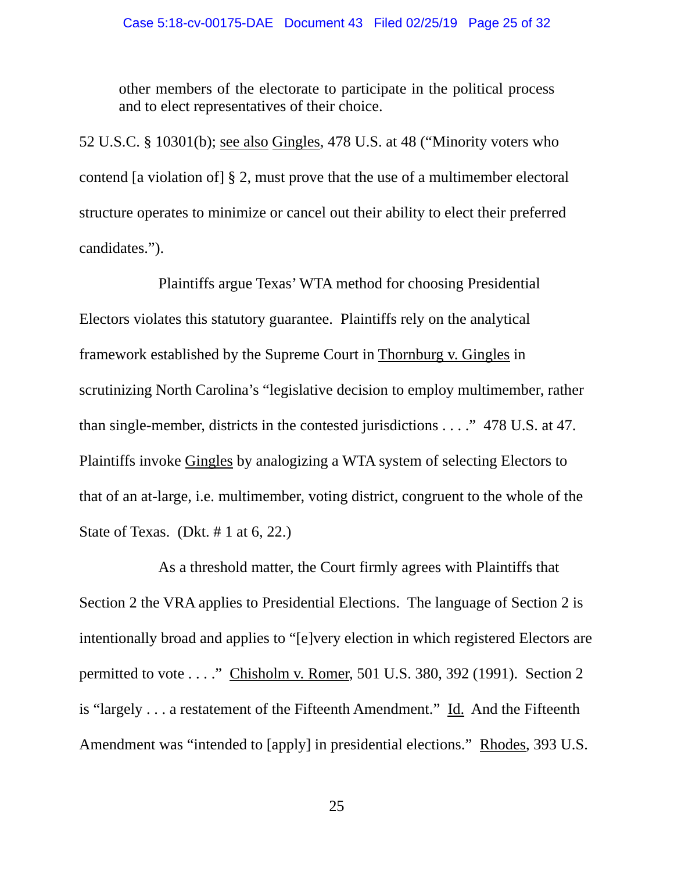other members of the electorate to participate in the political process and to elect representatives of their choice.

52 U.S.C. § 10301(b); see also Gingles, 478 U.S. at 48 ("Minority voters who contend [a violation of] § 2, must prove that the use of a multimember electoral structure operates to minimize or cancel out their ability to elect their preferred candidates.").

 Plaintiffs argue Texas' WTA method for choosing Presidential Electors violates this statutory guarantee. Plaintiffs rely on the analytical framework established by the Supreme Court in Thornburg v. Gingles in scrutinizing North Carolina's "legislative decision to employ multimember, rather than single-member, districts in the contested jurisdictions . . . ." 478 U.S. at 47. Plaintiffs invoke Gingles by analogizing a WTA system of selecting Electors to that of an at-large, i.e. multimember, voting district, congruent to the whole of the State of Texas. (Dkt.  $# 1$  at 6, 22.)

 As a threshold matter, the Court firmly agrees with Plaintiffs that Section 2 the VRA applies to Presidential Elections. The language of Section 2 is intentionally broad and applies to "[e]very election in which registered Electors are permitted to vote . . . ." Chisholm v. Romer, 501 U.S. 380, 392 (1991). Section 2 is "largely . . . a restatement of the Fifteenth Amendment." Id. And the Fifteenth Amendment was "intended to [apply] in presidential elections." Rhodes, 393 U.S.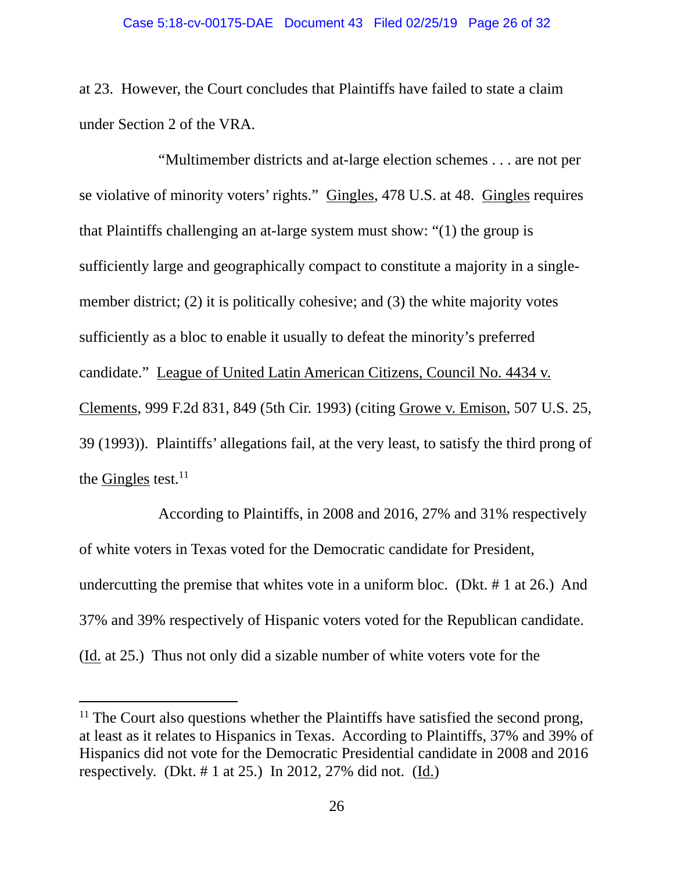at 23. However, the Court concludes that Plaintiffs have failed to state a claim under Section 2 of the VRA.

 "Multimember districts and at-large election schemes . . . are not per se violative of minority voters' rights." Gingles, 478 U.S. at 48. Gingles requires that Plaintiffs challenging an at-large system must show: "(1) the group is sufficiently large and geographically compact to constitute a majority in a singlemember district; (2) it is politically cohesive; and (3) the white majority votes sufficiently as a bloc to enable it usually to defeat the minority's preferred candidate." League of United Latin American Citizens, Council No. 4434 v. Clements, 999 F.2d 831, 849 (5th Cir. 1993) (citing Growe v. Emison, 507 U.S. 25, 39 (1993)). Plaintiffs' allegations fail, at the very least, to satisfy the third prong of the Gingles test. $^{11}$ 

 According to Plaintiffs, in 2008 and 2016, 27% and 31% respectively of white voters in Texas voted for the Democratic candidate for President, undercutting the premise that whites vote in a uniform bloc. (Dkt. # 1 at 26.) And 37% and 39% respectively of Hispanic voters voted for the Republican candidate. (Id. at 25.) Thus not only did a sizable number of white voters vote for the

 $<sup>11</sup>$  The Court also questions whether the Plaintiffs have satisfied the second prong,</sup> at least as it relates to Hispanics in Texas. According to Plaintiffs, 37% and 39% of Hispanics did not vote for the Democratic Presidential candidate in 2008 and 2016 respectively. (Dkt.  $\# 1$  at 25.) In 2012, 27% did not. (Id.)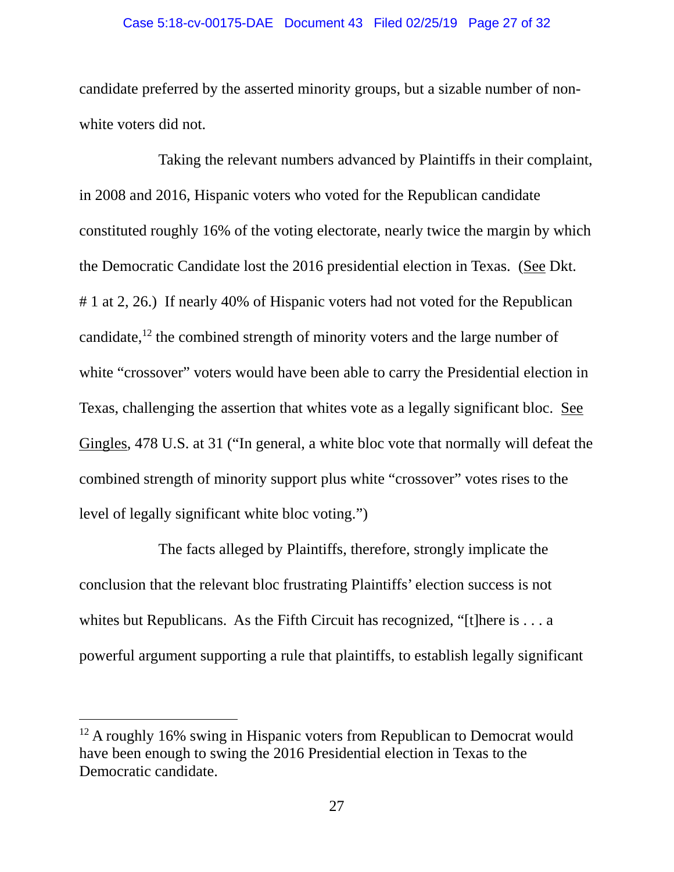### Case 5:18-cv-00175-DAE Document 43 Filed 02/25/19 Page 27 of 32

candidate preferred by the asserted minority groups, but a sizable number of nonwhite voters did not.

 Taking the relevant numbers advanced by Plaintiffs in their complaint, in 2008 and 2016, Hispanic voters who voted for the Republican candidate constituted roughly 16% of the voting electorate, nearly twice the margin by which the Democratic Candidate lost the 2016 presidential election in Texas. (See Dkt. # 1 at 2, 26.) If nearly 40% of Hispanic voters had not voted for the Republican candidate,<sup>12</sup> the combined strength of minority voters and the large number of white "crossover" voters would have been able to carry the Presidential election in Texas, challenging the assertion that whites vote as a legally significant bloc. See Gingles, 478 U.S. at 31 ("In general, a white bloc vote that normally will defeat the combined strength of minority support plus white "crossover" votes rises to the level of legally significant white bloc voting.")

 The facts alleged by Plaintiffs, therefore, strongly implicate the conclusion that the relevant bloc frustrating Plaintiffs' election success is not whites but Republicans. As the Fifth Circuit has recognized, "[t]here is . . . a powerful argument supporting a rule that plaintiffs, to establish legally significant

<sup>&</sup>lt;sup>12</sup> A roughly 16% swing in Hispanic voters from Republican to Democrat would have been enough to swing the 2016 Presidential election in Texas to the Democratic candidate.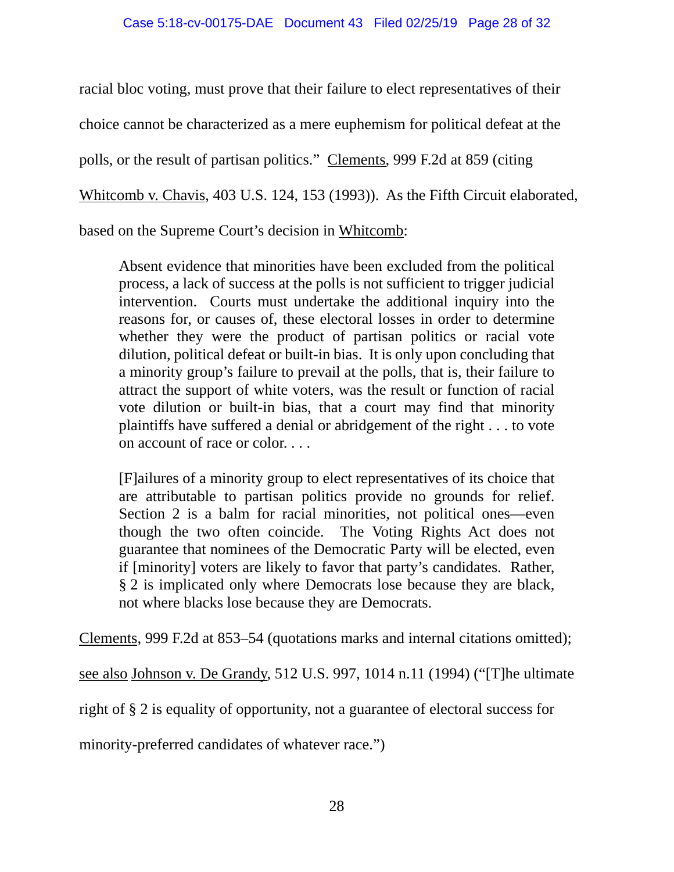racial bloc voting, must prove that their failure to elect representatives of their choice cannot be characterized as a mere euphemism for political defeat at the polls, or the result of partisan politics." Clements, 999 F.2d at 859 (citing Whitcomb v. Chavis, 403 U.S. 124, 153 (1993)). As the Fifth Circuit elaborated, based on the Supreme Court's decision in Whitcomb:

Absent evidence that minorities have been excluded from the political process, a lack of success at the polls is not sufficient to trigger judicial intervention. Courts must undertake the additional inquiry into the reasons for, or causes of, these electoral losses in order to determine whether they were the product of partisan politics or racial vote dilution, political defeat or built-in bias. It is only upon concluding that a minority group's failure to prevail at the polls, that is, their failure to attract the support of white voters, was the result or function of racial vote dilution or built-in bias, that a court may find that minority plaintiffs have suffered a denial or abridgement of the right . . . to vote on account of race or color. . . .

[F]ailures of a minority group to elect representatives of its choice that are attributable to partisan politics provide no grounds for relief. Section 2 is a balm for racial minorities, not political ones—even though the two often coincide. The Voting Rights Act does not guarantee that nominees of the Democratic Party will be elected, even if [minority] voters are likely to favor that party's candidates. Rather, § 2 is implicated only where Democrats lose because they are black, not where blacks lose because they are Democrats.

Clements, 999 F.2d at 853–54 (quotations marks and internal citations omitted);

see also Johnson v. De Grandy, 512 U.S. 997, 1014 n.11 (1994) ("[T]he ultimate

right of § 2 is equality of opportunity, not a guarantee of electoral success for

minority-preferred candidates of whatever race.")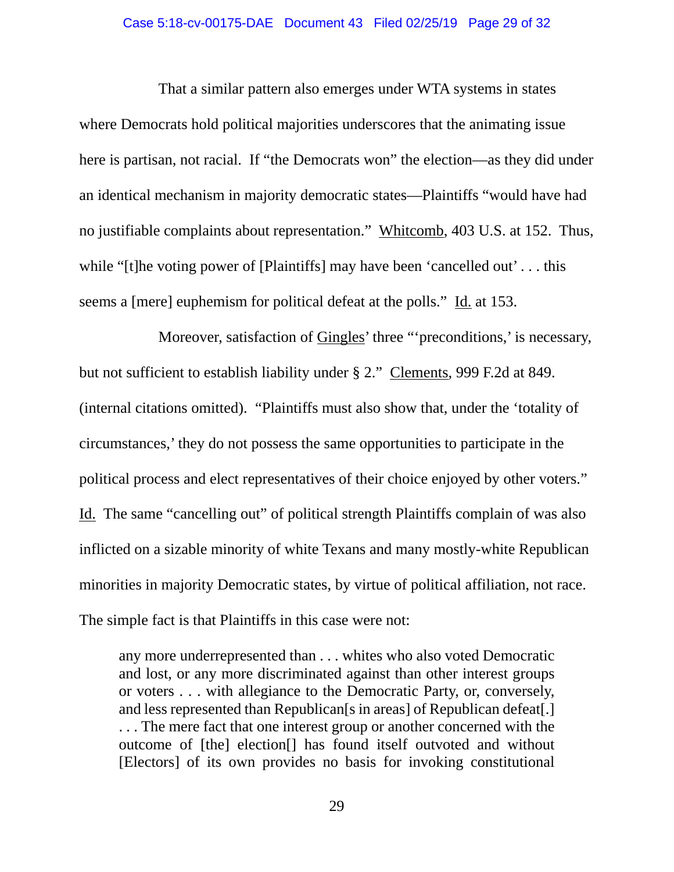#### Case 5:18-cv-00175-DAE Document 43 Filed 02/25/19 Page 29 of 32

 That a similar pattern also emerges under WTA systems in states where Democrats hold political majorities underscores that the animating issue here is partisan, not racial. If "the Democrats won" the election—as they did under an identical mechanism in majority democratic states—Plaintiffs "would have had no justifiable complaints about representation." Whitcomb, 403 U.S. at 152. Thus, while "[t]he voting power of [Plaintiffs] may have been 'cancelled out'... this seems a [mere] euphemism for political defeat at the polls." Id. at 153.

 Moreover, satisfaction of Gingles' three "'preconditions,' is necessary, but not sufficient to establish liability under § 2." Clements, 999 F.2d at 849. (internal citations omitted). "Plaintiffs must also show that, under the 'totality of circumstances,' they do not possess the same opportunities to participate in the political process and elect representatives of their choice enjoyed by other voters." Id. The same "cancelling out" of political strength Plaintiffs complain of was also inflicted on a sizable minority of white Texans and many mostly-white Republican minorities in majority Democratic states, by virtue of political affiliation, not race. The simple fact is that Plaintiffs in this case were not:

any more underrepresented than . . . whites who also voted Democratic and lost, or any more discriminated against than other interest groups or voters . . . with allegiance to the Democratic Party, or, conversely, and less represented than Republican[s in areas] of Republican defeat[.] . . . The mere fact that one interest group or another concerned with the outcome of [the] election[] has found itself outvoted and without [Electors] of its own provides no basis for invoking constitutional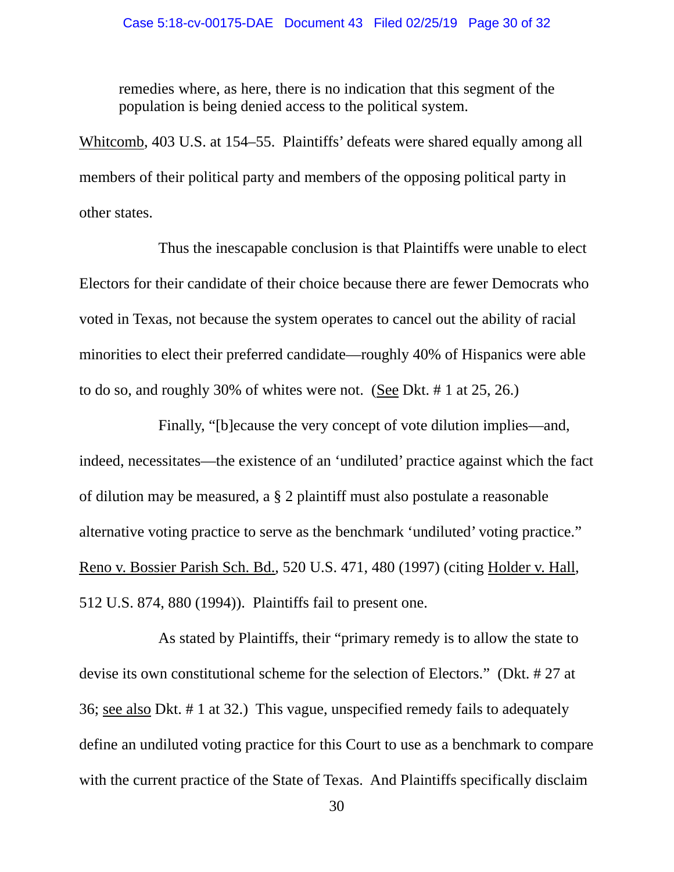remedies where, as here, there is no indication that this segment of the population is being denied access to the political system.

Whitcomb, 403 U.S. at 154–55. Plaintiffs' defeats were shared equally among all members of their political party and members of the opposing political party in other states.

 Thus the inescapable conclusion is that Plaintiffs were unable to elect Electors for their candidate of their choice because there are fewer Democrats who voted in Texas, not because the system operates to cancel out the ability of racial minorities to elect their preferred candidate—roughly 40% of Hispanics were able to do so, and roughly 30% of whites were not. (See Dkt. # 1 at 25, 26.)

 Finally, "[b]ecause the very concept of vote dilution implies—and, indeed, necessitates—the existence of an 'undiluted' practice against which the fact of dilution may be measured, a § 2 plaintiff must also postulate a reasonable alternative voting practice to serve as the benchmark 'undiluted' voting practice." Reno v. Bossier Parish Sch. Bd., 520 U.S. 471, 480 (1997) (citing Holder v. Hall, 512 U.S. 874, 880 (1994)). Plaintiffs fail to present one.

 As stated by Plaintiffs, their "primary remedy is to allow the state to devise its own constitutional scheme for the selection of Electors." (Dkt. # 27 at 36; see also Dkt. # 1 at 32.) This vague, unspecified remedy fails to adequately define an undiluted voting practice for this Court to use as a benchmark to compare with the current practice of the State of Texas. And Plaintiffs specifically disclaim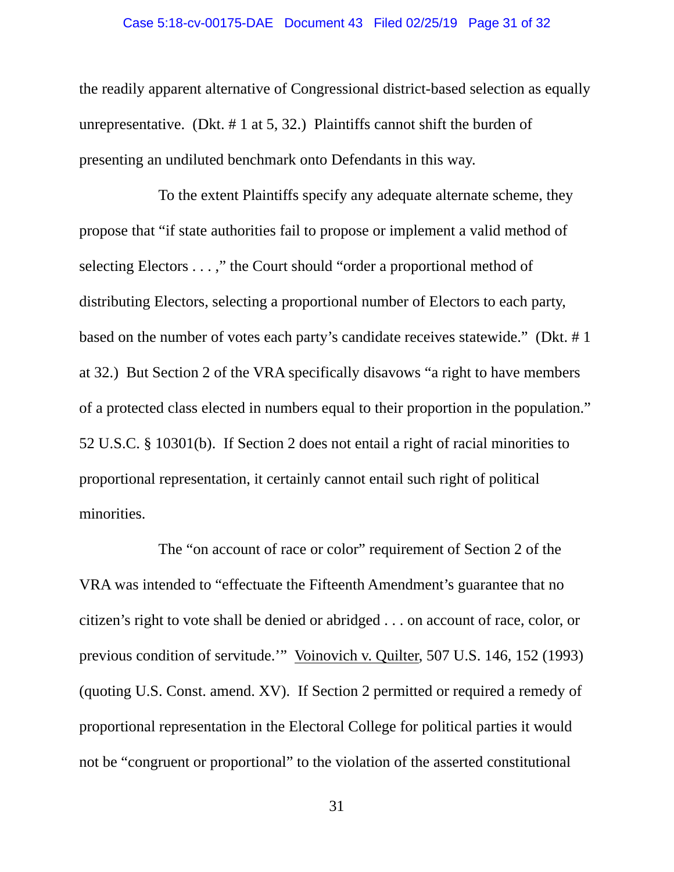### Case 5:18-cv-00175-DAE Document 43 Filed 02/25/19 Page 31 of 32

the readily apparent alternative of Congressional district-based selection as equally unrepresentative. (Dkt.  $# 1$  at 5, 32.) Plaintiffs cannot shift the burden of presenting an undiluted benchmark onto Defendants in this way.

 To the extent Plaintiffs specify any adequate alternate scheme, they propose that "if state authorities fail to propose or implement a valid method of selecting Electors . . . ," the Court should "order a proportional method of distributing Electors, selecting a proportional number of Electors to each party, based on the number of votes each party's candidate receives statewide." (Dkt. # 1 at 32.) But Section 2 of the VRA specifically disavows "a right to have members of a protected class elected in numbers equal to their proportion in the population." 52 U.S.C. § 10301(b). If Section 2 does not entail a right of racial minorities to proportional representation, it certainly cannot entail such right of political minorities.

 The "on account of race or color" requirement of Section 2 of the VRA was intended to "effectuate the Fifteenth Amendment's guarantee that no citizen's right to vote shall be denied or abridged . . . on account of race, color, or previous condition of servitude.'" Voinovich v. Quilter, 507 U.S. 146, 152 (1993) (quoting U.S. Const. amend. XV). If Section 2 permitted or required a remedy of proportional representation in the Electoral College for political parties it would not be "congruent or proportional" to the violation of the asserted constitutional